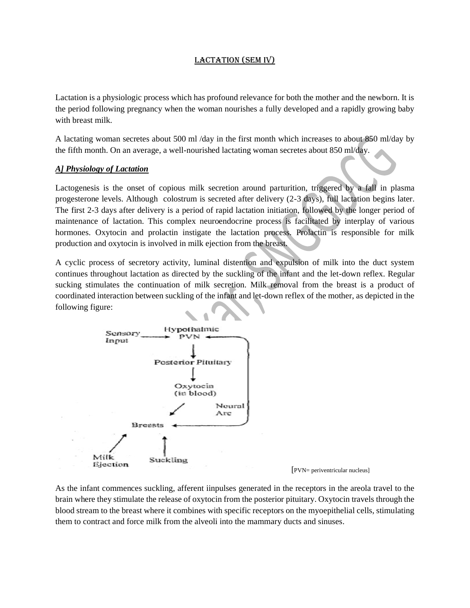# LACTATION (SEM IV)

Lactation is a physiologic process which has profound relevance for both the mother and the newborn. It is the period following pregnancy when the woman nourishes a fully developed and a rapidly growing baby with breast milk.

A lactating woman secretes about 500 ml /day in the first month which increases to about 850 ml/day by the fifth month. On an average, a well-nourished lactating woman secretes about 850 ml/day.

# *A] Physiology of Lactation*

Lactogenesis is the onset of copious milk secretion around parturition, triggered by a fall in plasma progesterone levels. Although colostrum is secreted after delivery (2-3 days), full lactation begins later. The first 2-3 days after delivery is a period of rapid lactation initiation, followed by the longer period of maintenance of lactation. This complex neuroendocrine process is facilitated by interplay of various hormones. Oxytocin and prolactin instigate the lactation process. Prolactin is responsible for milk production and oxytocin is involved in milk ejection from the breast.

A cyclic process of secretory activity, luminal distention and expulsion of milk into the duct system continues throughout lactation as directed by the suckling of the infant and the let-down reflex. Regular sucking stimulates the continuation of milk secretion. Milk removal from the breast is a product of coordinated interaction between suckling of the infant and let-down reflex of the mother, as depicted in the following figure:



As the infant commences suckling, afferent iinpulses generated in the receptors in the areola travel to the brain where they stimulate the release of oxytocin from the posterior pituitary. Oxytocin travels through the blood stream to the breast where it combines with specific receptors on the myoepithelial cells, stimulating them to contract and force milk from the alveoli into the mammary ducts and sinuses.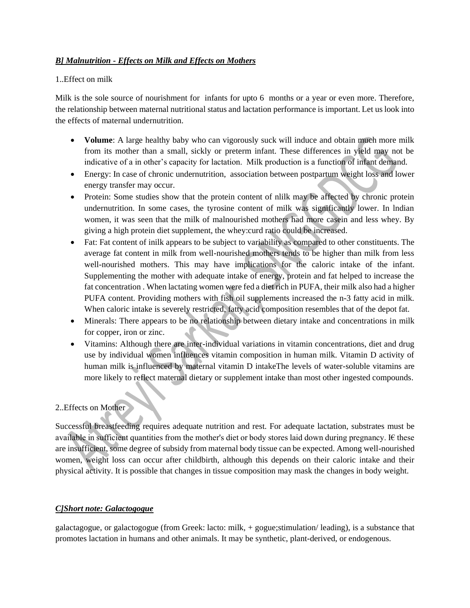# *B] Malnutrition - Effects on Milk and Effects on Mothers*

### 1..Effect on milk

Milk is the sole source of nourishment for infants for upto 6 months or a year or even more. Therefore, the relationship between maternal nutritional status and lactation performance is important. Let us look into the effects of maternal undernutrition.

- **Volume**: A large healthy baby who can vigorously suck will induce and obtain much more milk from its mother than a small, sickly or preterm infant. These differences in yield may not be indicative of a in other's capacity for lactation. Milk production is a function of infant demand.
- Energy: In case of chronic undernutrition, association between postpartum weight loss and lower energy transfer may occur.
- Protein: Some studies show that the protein content of nlilk may be affected by chronic protein undernutrition. In some cases, the tyrosine content of milk was significantly lower. In lndian women, it was seen that the milk of malnourished mothers had more casein and less whey. By giving a high protein diet supplement, the whey:curd ratio could be increased.
- Fat: Fat content of inilk appears to be subject to variability as compared to other constituents. The average fat content in milk from well-nourished mothers tends to be higher than milk from less well-nourished mothers. This may have implications for the caloric intake of the infant. Supplementing the mother with adequate intake of energy, protein and fat helped to increase the fat concentration . When lactating women were fed a diet rich in PUFA, their milk also had a higher PUFA content. Providing mothers with fish oil supplements increased the n-3 fatty acid in milk. When caloric intake is severely restricted, fatty acid composition resembles that of the depot fat.
- Minerals: There appears to be no relationship between dietary intake and concentrations in milk for copper, iron or zinc.
- Vitamins: Although there are inter-individual variations in vitamin concentrations, diet and drug use by individual women influences vitamin composition in human milk. Vitamin D activity of human milk is influenced by maternal vitamin D intakeThe levels of water-soluble vitamins are more likely to reflect maternal dietary or supplement intake than most other ingested compounds.

# 2..Effects on Mother

Successful breastfeeding requires adequate nutrition and rest. For adequate lactation, substrates must be available in sufficient quantities from the mother's diet or body stores laid down during pregnancy. I $\epsilon$  these are insufficient, some degree of subsidy from maternal body tissue can be expected. Among well-nourished women, weight loss can occur after childbirth, although this depends on their caloric intake and their physical activity. It is possible that changes in tissue composition may mask the changes in body weight.

# *C]Short note: Galactogogue*

galactagogue, or galactogogue (from [Greek:](https://en.wikipedia.org/wiki/Greek_language) lacto: milk, + gogue;stimulation/ leading), is a substance that promotes [lactation](https://en.wikipedia.org/wiki/Lactation) in humans and other animals. It may be synthetic, plant-derived, or [endogenous.](https://en.wikipedia.org/wiki/Endogenous)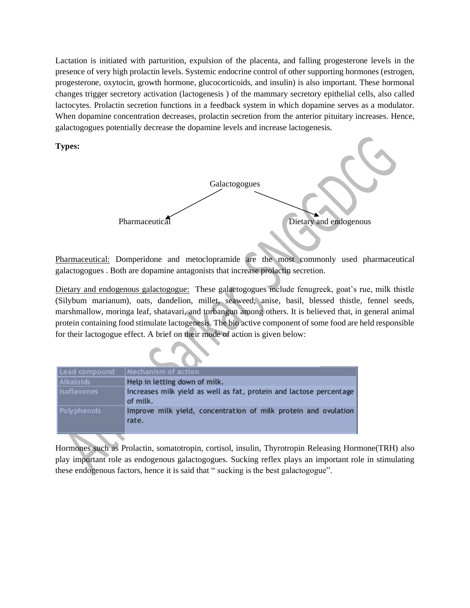Lactation is initiated with parturition, expulsion of the placenta, and falling progesterone levels in the presence of very high prolactin levels. Systemic endocrine control of other supporting hormones (estrogen, progesterone, oxytocin, growth hormone, glucocorticoids, and insulin) is also important. These hormonal changes trigger secretory activation (lactogenesis ) of the mammary secretory epithelial cells, also called lactocytes. Prolactin secretion functions in a feedback system in which dopamine serves as a modulator. When dopamine concentration decreases, prolactin secretion from the anterior pituitary increases. Hence, galactogogues potentially decrease the dopamine levels and increase lactogenesis.

**Types:**



Pharmaceutical: Domperidone and metoclopramide are the most commonly used pharmaceutical galactogogues . Both are dopamine antagonists that increase prolactin secretion.

Dietary and endogenous galactogogue: These galactogogues include fenugreek, goat's rue, milk thistle (Silybum marianum), oats, dandelion, millet, seaweed, anise, basil, blessed thistle, fennel seeds, marshmallow, moringa leaf, shatavari, and torbangun among others. It is believed that, in general animal protein containing food stimulate lactogenesis. The bio active component of some food are held responsible for their lactogogue effect. A brief on their mode of action is given below:

| Lead compound      | Mechanism of action                                                             |
|--------------------|---------------------------------------------------------------------------------|
| Alkaloids          | Help in letting down of milk.                                                   |
| <b>isoflavones</b> | Increases milk yield as well as fat, protein and lactose percentage<br>of milk. |
| Polyphenols        | Improve milk yield, concentration of milk protein and ovulation<br>rate.        |

Hormones such as Prolactin, somatotropin, cortisol, insulin, Thyrotropin Releasing Hormone(TRH) also play important role as endogenous galactogogues. Sucking reflex plays an important role in stimulating these endogenous factors, hence it is said that " sucking is the best galactogogue".